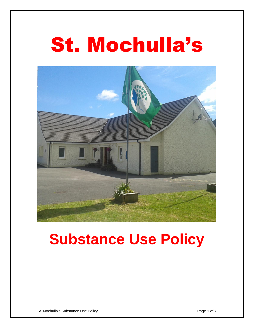# St. Mochulla's



## **Substance Use Policy**

St. Mochulla's Substance Use Policy Page 1 of 7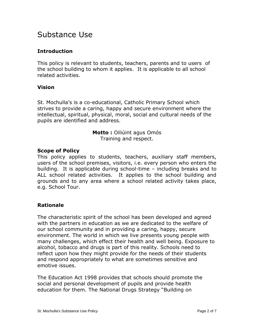### Substance Use

#### **Introduction**

This policy is relevant to students, teachers, parents and to users of the school building to whom it applies. It is applicable to all school related activities.

#### **Vision**

St. Mochulla's is a co-educational, Catholic Primary School which strives to provide a caring, happy and secure environment where the intellectual, spiritual, physical, moral, social and cultural needs of the pupils are identified and address.

> **Motto :** Oiliúint agus Omós Training and respect.

#### **Scope of Policy**

This policy applies to students, teachers, auxiliary staff members, users of the school premises, visitors, i.e. every person who enters the building. It is applicable during school-time – including breaks and to ALL school related activities. It applies to the school building and grounds and to any area where a school related activity takes place, e.g. School Tour.

#### **Rationale**

The characteristic spirit of the school has been developed and agreed with the partners in education as we are dedicated to the welfare of our school community and in providing a caring, happy, secure environment. The world in which we live presents young people with many challenges, which effect their health and well being. Exposure to alcohol, tobacco and drugs is part of this reality. Schools need to reflect upon how they might provide for the needs of their students and respond appropriately to what are sometimes sensitive and emotive issues.

The Education Act 1998 provides that schools should promote the social and personal development of pupils and provide health education for them. The National Drugs Strategy "Building on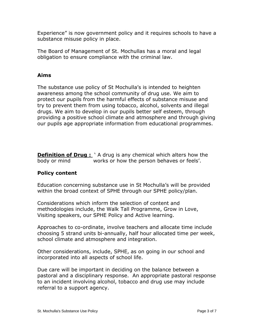Experience" is now government policy and it requires schools to have a substance misuse policy in place.

The Board of Management of St. Mochullas has a moral and legal obligation to ensure compliance with the criminal law.

#### **Aims**

The substance use policy of St Mochulla's is intended to heighten awareness among the school community of drug use. We aim to protect our pupils from the harmful effects of substance misuse and try to prevent them from using tobacco, alcohol, solvents and illegal drugs. We aim to develop in our pupils better self esteem, through providing a positive school climate and atmosphere and through giving our pupils age appropriate information from educational programmes.

**Definition of Drug :** `A drug is any chemical which alters how the body or mind works or how the person behaves or feels'.

#### **Policy content**

Education concerning substance use in St Mochulla's will be provided within the broad context of SPHE through our SPHE policy/plan.

Considerations which inform the selection of content and methodologies include, the Walk Tall Programme, Grow in Love, Visiting speakers, our SPHE Policy and Active learning.

Approaches to co-ordinate, involve teachers and allocate time include choosing 5 strand units bi-annually, half hour allocated time per week, school climate and atmosphere and integration.

Other considerations, include, SPHE, as on going in our school and incorporated into all aspects of school life.

Due care will be important in deciding on the balance between a pastoral and a disciplinary response. An appropriate pastoral response to an incident involving alcohol, tobacco and drug use may include referral to a support agency.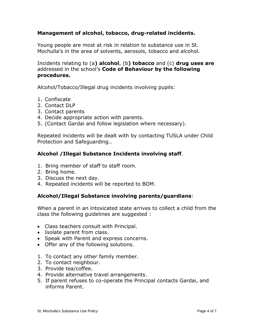#### **Management of alcohol, tobacco, drug-related incidents.**

Young people are most at risk in relation to substance use in St. Mochulla's in the area of solvents, aerosols, tobacco and alcohol.

Incidents relating to (a**) alcohol**, (b**) tobacco** and (c) **drug uses are** addressed in the school's **Code of Behaviour by the following procedures.**

Alcohol/Tobacco/Illegal drug incidents involving pupils:

- 1. Confiscate
- 2. Contact DLP
- 3. Contact parents
- 4. Decide appropriate action with parents.
- 5. (Contact Gardai and follow legislation where necessary).

Repeated incidents will be dealt with by contacting TUSLA under Child Protection and Safeguarding..

#### **Alcohol /Illegal Substance Incidents involving staff**.

- 1. Bring member of staff to staff room.
- 2. Bring home.
- 3. Discuss the next day.
- 4. Repeated incidents will be reported to BOM.

#### **Alcohol/Illegal Substance involving parents/guardians**:

When a parent in an intoxicated state arrives to collect a child from the class the following guidelines are suggested :

- Class teachers consult with Principal.
- Isolate parent from class.
- Speak with Parent and express concerns.
- Offer any of the following solutions.
- 1. To contact any other family member.
- 2. To contact neighbour.
- 3. Provide tea/coffee.
- 4. Provide alternative travel arrangements.
- 5. If parent refuses to co-operate the Principal contacts Gardai, and informs Parent.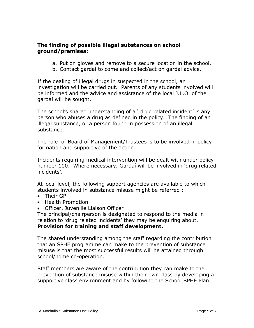#### **The finding of possible illegal substances on school ground/premises**:

- a. Put on gloves and remove to a secure location in the school.
- b. Contact gardaí to come and collect/act on gardaí advice.

If the dealing of illegal drugs in suspected in the school, an investigation will be carried out. Parents of any students involved will be informed and the advice and assistance of the local J.L.O. of the gardaí will be sought.

The school's shared understanding of a ' drug related incident' is any person who abuses a drug as defined in the policy. The finding of an illegal substance, or a person found in possession of an illegal substance.

The role of Board of Management/Trustees is to be involved in policy formation and supportive of the action.

Incidents requiring medical intervention will be dealt with under policy number 100. Where necessary, Gardaí will be involved in 'drug related incidents'.

At local level, the following support agencies are available to which students involved in substance misuse might be referred :

- Their GP
- Health Promotion
- Officer, Juvenille Liaison Officer

The principal/chairperson is designated to respond to the media in relation to 'drug related incidents' they may be enquiring about. **Provision for training and staff development.**

The shared understanding among the staff regarding the contribution that an SPHE programme can make to the prevention of substance misuse is that the most successful results will be attained through school/home co-operation.

Staff members are aware of the contribution they can make to the prevention of substance misuse within their own class by developing a supportive class environment and by following the School SPHE Plan.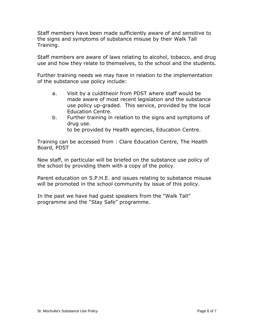Staff members have been made sufficiently aware of and sensitive to the signs and symptoms of substance misuse by their Walk Tall Training.

Staff members are aware of laws relating to alcohol, tobacco, and drug use and how they relate to themselves, to the school and the students.

Further training needs we may have in relation to the implementation of the substance use policy include:

- a. Visit by a cuiditheoir from PDST where staff would be made aware of most recent legislation and the substance use policy up-graded. This service, provided by the local Education Centre.
- b. Further training in relation to the signs and symptoms of drug use. to be provided by Health agencies, Education Centre.

Training can be accessed from : Clare Education Centre, The Health Board, PDST

New staff, in particular will be briefed on the substance use policy of the school by providing them with a copy of the policy.

Parent education on S.P.H.E. and issues relating to substance misuse will be promoted in the school community by issue of this policy.

In the past we have had guest speakers from the "Walk Tall" programme and the "Stay Safe" programme.